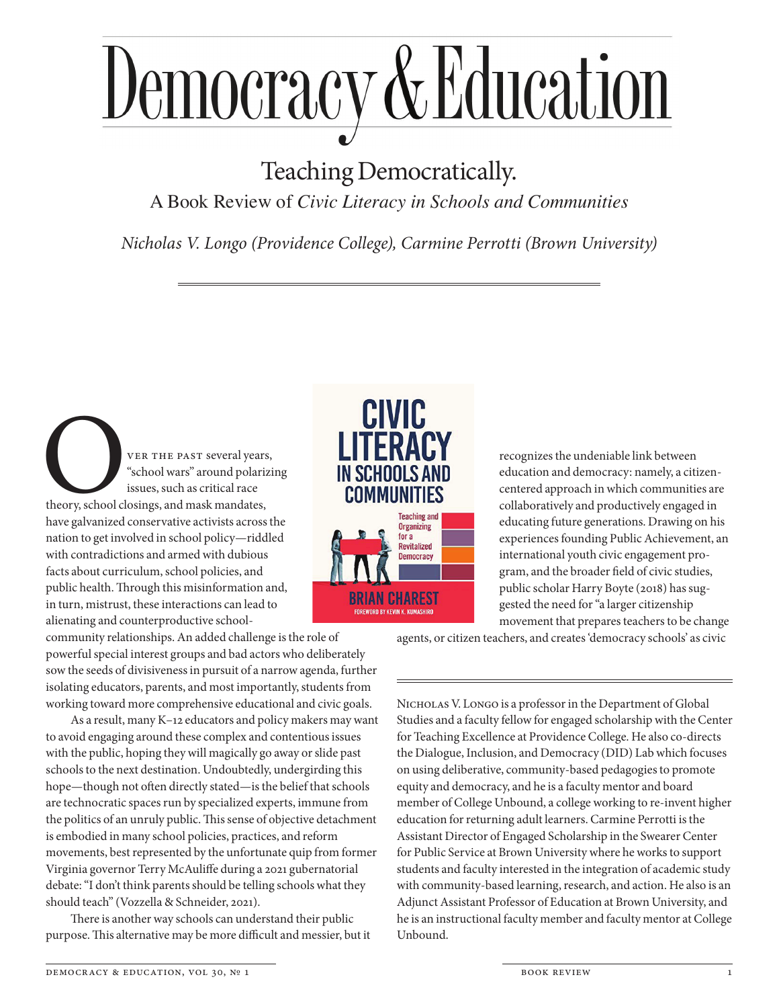## Democracy & Education

## Teaching Democratically.

A Book Review of *Civic Literacy in Schools and Communities*

*Nicholas V. Longo (Providence College), Carmine Perrotti (Brown University)*

VER THE PAST several years,<br>
"school wars" around polarizi<br>
issues, such as critical race<br>
theory, school closings, and mask mandates,<br>
have galvanized conservative activists across t "school wars" around polarizing issues, such as critical race theory, school closings, and mask mandates, have galvanized conservative activists across the nation to get involved in school policy—riddled with contradictions and armed with dubious facts about curriculum, school policies, and public health. Through this misinformation and, in turn, mistrust, these interactions can lead to alienating and counterproductive school-

community relationships. An added challenge is the role of powerful special interest groups and bad actors who deliberately sow the seeds of divisiveness in pursuit of a narrow agenda, further isolating educators, parents, and most importantly, students from working toward more comprehensive educational and civic goals.

As a result, many K–12 educators and policy makers may want to avoid engaging around these complex and contentious issues with the public, hoping they will magically go away or slide past schools to the next destination. Undoubtedly, undergirding this hope—though not often directly stated—is the belief that schools are technocratic spaces run by specialized experts, immune from the politics of an unruly public. This sense of objective detachment is embodied in many school policies, practices, and reform movements, best represented by the unfortunate quip from former Virginia governor Terry McAuliffe during a 2021 gubernatorial debate: "I don't think parents should be telling schools what they should teach" (Vozzella & Schneider, 2021).

There is another way schools can understand their public purpose. This alternative may be more difficult and messier, but it





recognizes the undeniable link between education and democracy: namely, a citizencentered approach in which communities are collaboratively and productively engaged in educating future generations. Drawing on his experiences founding Public Achievement, an international youth civic engagement program, and the broader field of civic studies, public scholar Harry Boyte (2018) has suggested the need for "a larger citizenship movement that prepares teachers to be change

agents, or citizen teachers, and creates 'democracy schools' as civic

NICHOLAS V. LONGO is a professor in the Department of Global Studies and a faculty fellow for engaged scholarship with the Center for Teaching Excellence at Providence College. He also co-directs the Dialogue, Inclusion, and Democracy (DID) Lab which focuses on using deliberative, community-based pedagogies to promote equity and democracy, and he is a faculty mentor and board member of College Unbound, a college working to re-invent higher education for returning adult learners. Carmine Perrotti is the Assistant Director of Engaged Scholarship in the Swearer Center for Public Service at Brown University where he works to support students and faculty interested in the integration of academic study with community-based learning, research, and action. He also is an Adjunct Assistant Professor of Education at Brown University, and he is an instructional faculty member and faculty mentor at College Unbound.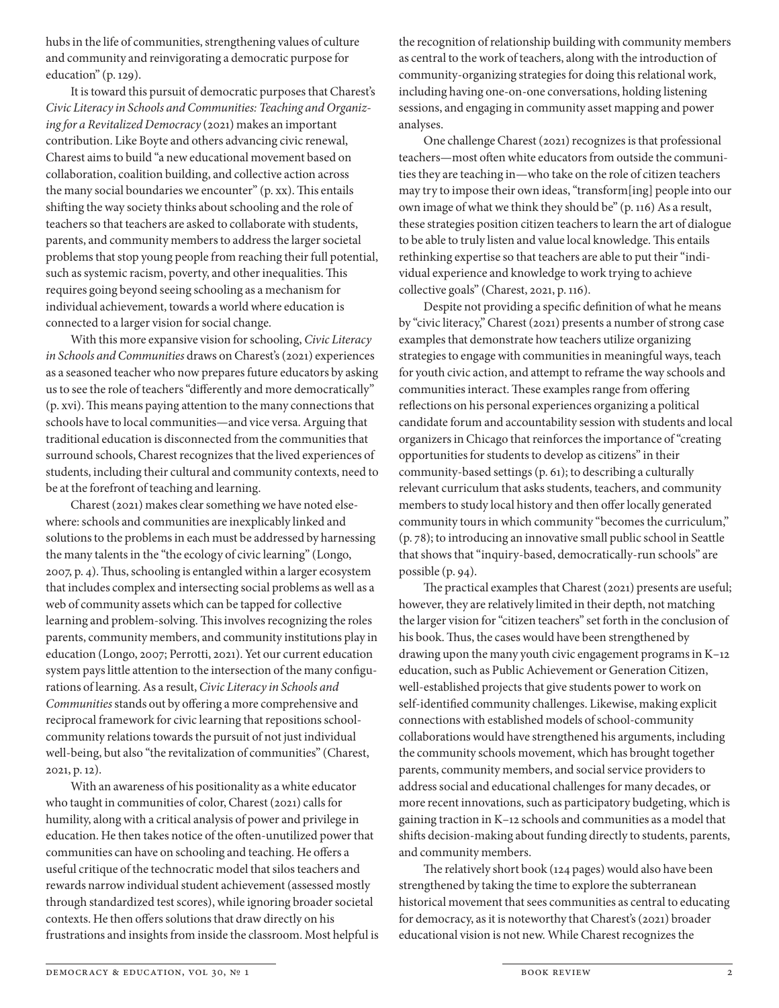hubs in the life of communities, strengthening values of culture and community and reinvigorating a democratic purpose for education" (p. 129).

It is toward this pursuit of democratic purposes that Charest's *Civic Literacy in Schools and Communities: Teaching and Organizing for a Revitalized Democracy* (2021) makes an important contribution. Like Boyte and others advancing civic renewal, Charest aims to build "a new educational movement based on collaboration, coalition building, and collective action across the many social boundaries we encounter" (p. xx). This entails shifting the way society thinks about schooling and the role of teachers so that teachers are asked to collaborate with students, parents, and community members to address the larger societal problems that stop young people from reaching their full potential, such as systemic racism, poverty, and other inequalities. This requires going beyond seeing schooling as a mechanism for individual achievement, towards a world where education is connected to a larger vision for social change.

With this more expansive vision for schooling, *Civic Literacy in Schools and Communities* draws on Charest's (2021) experiences as a seasoned teacher who now prepares future educators by asking us to see the role of teachers "differently and more democratically" (p. xvi). This means paying attention to the many connections that schools have to local communities—and vice versa. Arguing that traditional education is disconnected from the communities that surround schools, Charest recognizes that the lived experiences of students, including their cultural and community contexts, need to be at the forefront of teaching and learning.

Charest (2021) makes clear something we have noted elsewhere: schools and communities are inexplicably linked and solutions to the problems in each must be addressed by harnessing the many talents in the "the ecology of civic learning" (Longo, 2007, p. 4). Thus, schooling is entangled within a larger ecosystem that includes complex and intersecting social problems as well as a web of community assets which can be tapped for collective learning and problem-solving. This involves recognizing the roles parents, community members, and community institutions play in education (Longo, 2007; Perrotti, 2021). Yet our current education system pays little attention to the intersection of the many configurations of learning. As a result, *Civic Literacy in Schools and Communities* stands out by offering a more comprehensive and reciprocal framework for civic learning that repositions schoolcommunity relations towards the pursuit of not just individual well-being, but also "the revitalization of communities" (Charest, 2021, p. 12).

With an awareness of his positionality as a white educator who taught in communities of color, Charest (2021) calls for humility, along with a critical analysis of power and privilege in education. He then takes notice of the often-unutilized power that communities can have on schooling and teaching. He offers a useful critique of the technocratic model that silos teachers and rewards narrow individual student achievement (assessed mostly through standardized test scores), while ignoring broader societal contexts. He then offers solutions that draw directly on his frustrations and insights from inside the classroom. Most helpful is

the recognition of relationship building with community members as central to the work of teachers, along with the introduction of community-organizing strategies for doing this relational work, including having one-on-one conversations, holding listening sessions, and engaging in community asset mapping and power analyses.

One challenge Charest (2021) recognizes is that professional teachers—most often white educators from outside the communities they are teaching in—who take on the role of citizen teachers may try to impose their own ideas, "transform[ing] people into our own image of what we think they should be" (p. 116) As a result, these strategies position citizen teachers to learn the art of dialogue to be able to truly listen and value local knowledge. This entails rethinking expertise so that teachers are able to put their "individual experience and knowledge to work trying to achieve collective goals" (Charest, 2021, p. 116).

Despite not providing a specific definition of what he means by "civic literacy," Charest (2021) presents a number of strong case examples that demonstrate how teachers utilize organizing strategies to engage with communities in meaningful ways, teach for youth civic action, and attempt to reframe the way schools and communities interact. These examples range from offering reflections on his personal experiences organizing a political candidate forum and accountability session with students and local organizers in Chicago that reinforces the importance of "creating opportunities for students to develop as citizens" in their community-based settings (p. 61); to describing a culturally relevant curriculum that asks students, teachers, and community members to study local history and then offer locally generated community tours in which community "becomes the curriculum," (p. 78); to introducing an innovative small public school in Seattle that shows that "inquiry-based, democratically-run schools" are possible (p. 94).

The practical examples that Charest (2021) presents are useful; however, they are relatively limited in their depth, not matching the larger vision for "citizen teachers" set forth in the conclusion of his book. Thus, the cases would have been strengthened by drawing upon the many youth civic engagement programs in K–12 education, such as Public Achievement or Generation Citizen, well-established projects that give students power to work on self-identified community challenges. Likewise, making explicit connections with established models of school-community collaborations would have strengthened his arguments, including the community schools movement, which has brought together parents, community members, and social service providers to address social and educational challenges for many decades, or more recent innovations, such as participatory budgeting, which is gaining traction in K–12 schools and communities as a model that shifts decision-making about funding directly to students, parents, and community members.

The relatively short book (124 pages) would also have been strengthened by taking the time to explore the subterranean historical movement that sees communities as central to educating for democracy, as it is noteworthy that Charest's (2021) broader educational vision is not new. While Charest recognizes the